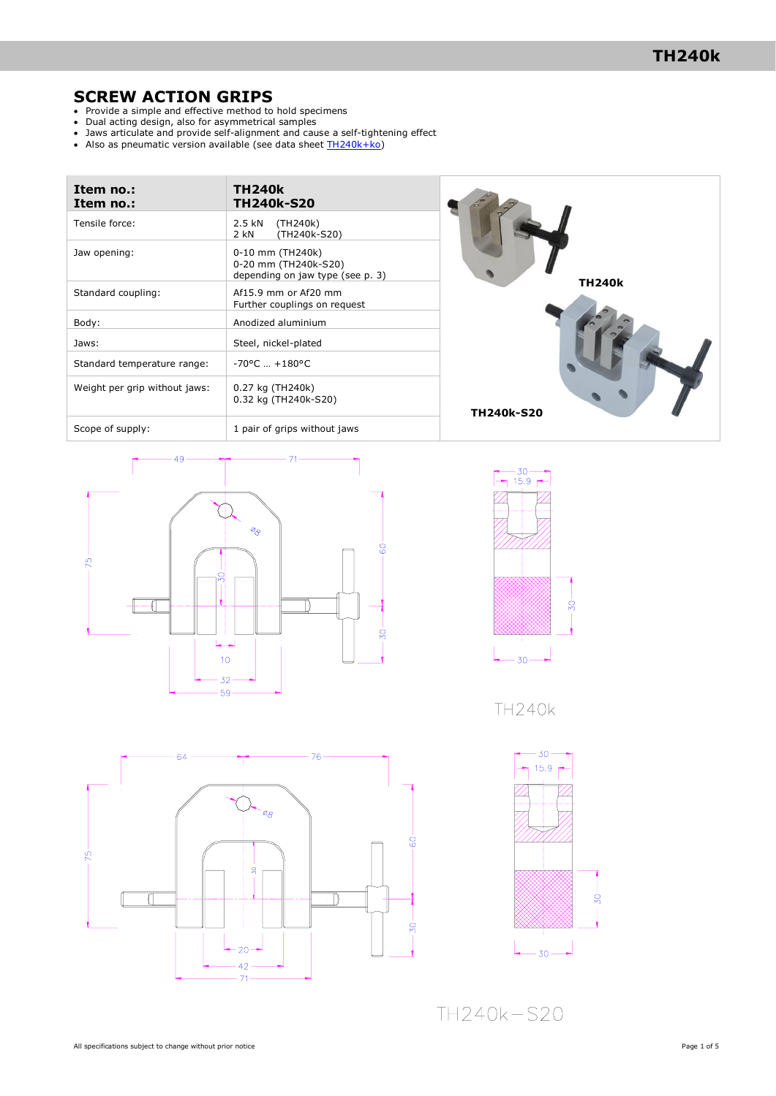## **SCREW ACTION GRIPS**

- Provide a simple and effective method to hold specimens
- Dual acting design, also for asymmetrical samples
- Jaws articulate and provide self-alignment and cause a self-tightening effect
- Also as pneumatic version available (see data sheet [TH240k+ko\)](http://www.grip.de/pdf/TH240k+Ko_Datasheet.pdf)

| Item no.:<br>Item no.:        | <b>TH240k</b><br><b>TH240k-S20</b>                                           |                   |
|-------------------------------|------------------------------------------------------------------------------|-------------------|
| Tensile force:                | 2.5 kN<br>(TH240k)<br>(TH240k-S20)<br>2 kN                                   |                   |
| Jaw opening:                  | 0-10 mm (TH240k)<br>0-20 mm (TH240k-S20)<br>depending on jaw type (see p. 3) | <b>TH240k</b>     |
| Standard coupling:            | Af15.9 mm or Af20 mm<br>Further couplings on request                         |                   |
| Body:                         | Anodized aluminium                                                           |                   |
| Jaws:                         | Steel, nickel-plated                                                         |                   |
| Standard temperature range:   | $-70^{\circ}$ C $+180^{\circ}$ C                                             |                   |
| Weight per grip without jaws: | 0.27 kg (TH240k)<br>0.32 kg (TH240k-S20)                                     | <b>TH240k-S20</b> |
| Scone of cunnly               | 1 nair of gring without jawe                                                 |                   |





**TH240k** 





TH240k-S20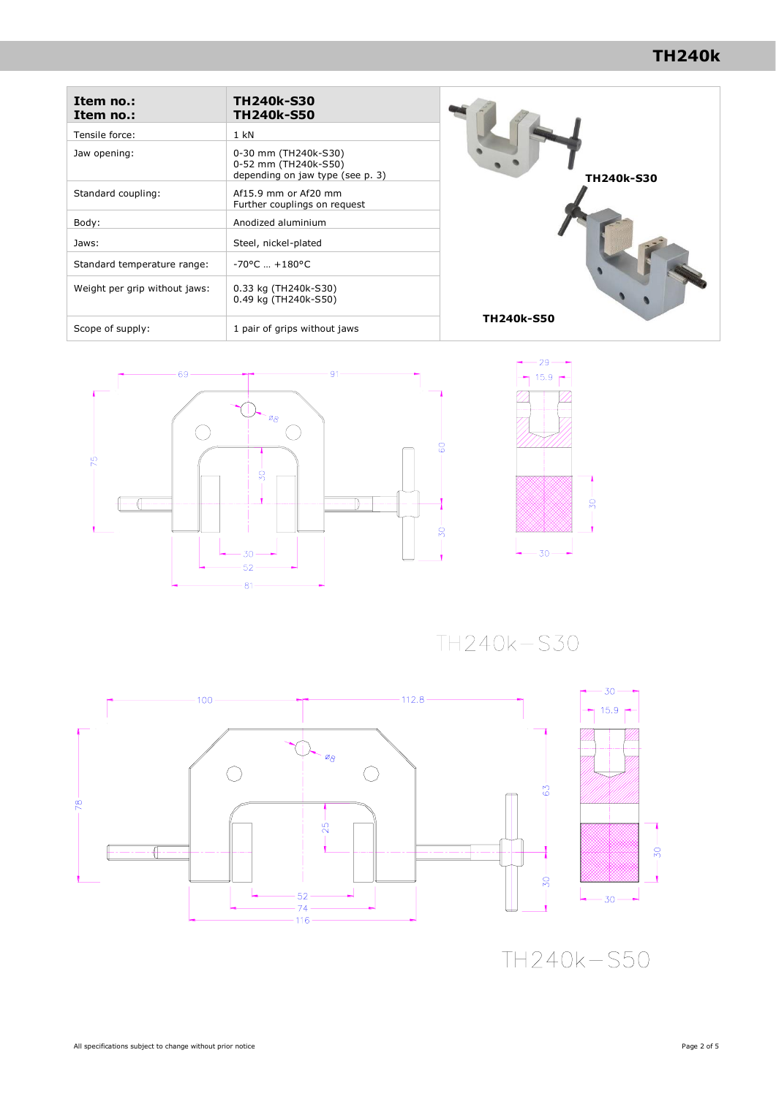# **TH240k**

| Item no.:<br>Item no.:        | <b>TH240k-S30</b><br><b>TH240k-S50</b>                                           |                   |
|-------------------------------|----------------------------------------------------------------------------------|-------------------|
| Tensile force:                | $1$ kN                                                                           |                   |
| Jaw opening:                  | 0-30 mm (TH240k-S30)<br>0-52 mm (TH240k-S50)<br>depending on jaw type (see p. 3) | TH240k-S30        |
| Standard coupling:            | Af15.9 mm or Af20 mm<br>Further couplings on request                             |                   |
| Body:                         | Anodized aluminium                                                               |                   |
| Jaws:                         | Steel, nickel-plated                                                             |                   |
| Standard temperature range:   | $-70^{\circ}$ C $+180^{\circ}$ C                                                 |                   |
| Weight per grip without jaws: | 0.33 kg (TH240k-S30)<br>0.49 kg (TH240k-S50)                                     |                   |
| Scope of supply:              | 1 pair of grips without jaws                                                     | <b>TH240k-S50</b> |





TH240k-S30



TH240k-S50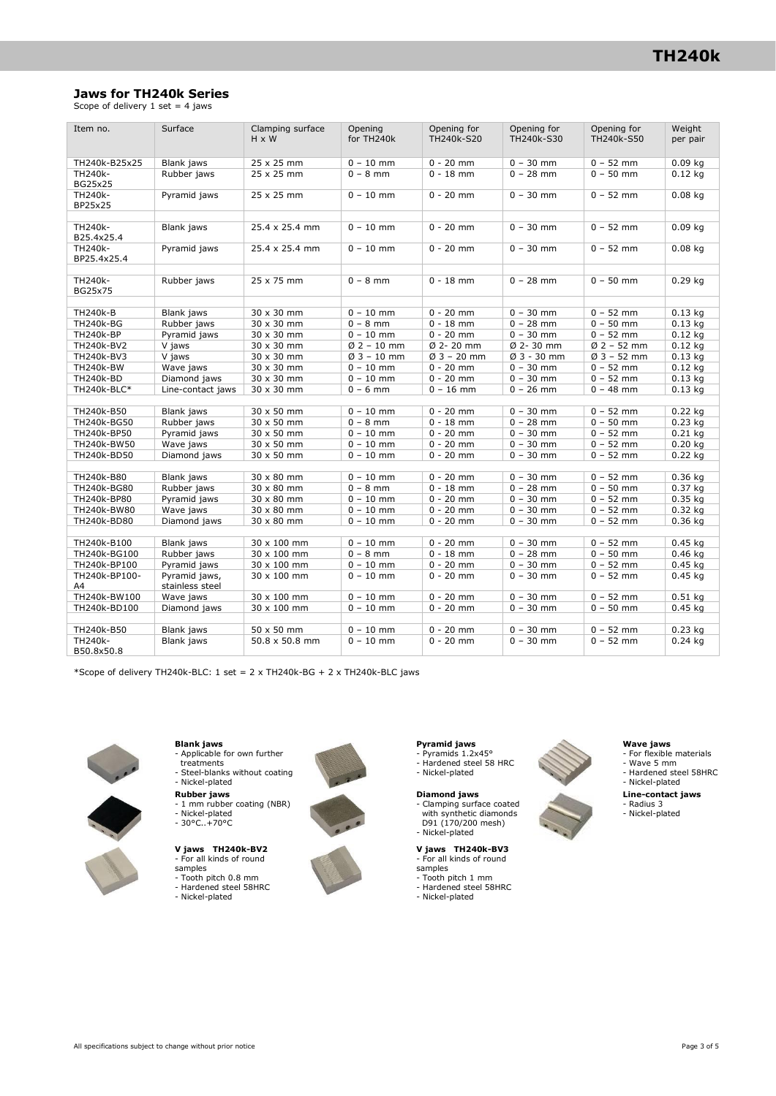## **Jaws for TH240k Series**

Scope of delivery  $1$  set = 4 jaws

| Item no.            | Surface                          | Clamping surface      | Opening       | Opening for   | Opening for  | Opening for   | Weight    |
|---------------------|----------------------------------|-----------------------|---------------|---------------|--------------|---------------|-----------|
|                     |                                  | H x W                 | for TH240k    | TH240k-S20    | TH240k-S30   | TH240k-S50    | per pair  |
|                     |                                  |                       |               |               |              |               |           |
| TH240k-B25x25       | Blank jaws                       | $25 \times 25$ mm     | $0 - 10$ mm   | $0 - 20$ mm   | $0 - 30$ mm  | $0 - 52$ mm   | $0.09$ kg |
| TH240k-             | Rubber jaws                      | 25 x 25 mm            | $0 - 8$ mm    | $0 - 18$ mm   | $0 - 28$ mm  | $0 - 50$ mm   | $0.12$ kg |
| <b>BG25x25</b>      |                                  |                       |               |               |              |               |           |
| TH240k-<br>BP25x25  | Pyramid jaws                     | 25 x 25 mm            | $0 - 10$ mm   | $0 - 20$ mm   | $0 - 30$ mm  | $0 - 52$ mm   | $0.08$ kg |
|                     |                                  |                       |               |               |              |               |           |
| TH240k-             | Blank jaws                       | 25.4 x 25.4 mm        | $0 - 10$ mm   | $0 - 20$ mm   | $0 - 30$ mm  | $0 - 52$ mm   | $0.09$ kg |
| B25.4x25.4          |                                  |                       |               |               |              |               |           |
| TH240k-             | Pyramid jaws                     | 25.4 x 25.4 mm        | $0 - 10$ mm   | $0 - 20$ mm   | $0 - 30$ mm  | $0 - 52$ mm   | $0.08$ kg |
| BP25.4x25.4         |                                  |                       |               |               |              |               |           |
|                     |                                  |                       |               |               |              |               |           |
| TH240k-             | Rubber jaws                      | 25 x 75 mm            | $0 - 8$ mm    | $0 - 18$ mm   | $0 - 28$ mm  | $0 - 50$ mm   | $0.29$ kg |
| <b>BG25x75</b>      |                                  |                       |               |               |              |               |           |
| <b>TH240k-B</b>     | Blank jaws                       | 30 x 30 mm            | $0 - 10$ mm   | $0 - 20$ mm   | $0 - 30$ mm  | $0 - 52$ mm   | $0.13$ kg |
| <b>TH240k-BG</b>    | Rubber jaws                      | 30 x 30 mm            | $0 - 8$ mm    | $0 - 18$ mm   | $0 - 28$ mm  | $0 - 50$ mm   | $0.13$ kg |
| <b>TH240k-BP</b>    | Pyramid jaws                     | 30 x 30 mm            | $0 - 10$ mm   | $0 - 20$ mm   | $0 - 30$ mm  | $0 - 52$ mm   | $0.12$ kg |
| TH240k-BV2          | V jaws                           | 30 x 30 mm            | $Ø 2 - 10$ mm | Ø 2-20 mm     | Ø 2-30 mm    | $Ø 2 - 52$ mm | $0.12$ kg |
| TH240k-BV3          | V jaws                           | 30 x 30 mm            | $Ø3 - 10$ mm  | $Ø$ 3 - 20 mm | $Ø3 - 30$ mm | $Ø3 - 52$ mm  | $0.13$ kg |
| <b>TH240k-BW</b>    | Wave jaws                        | 30 x 30 mm            | $0 - 10$ mm   | $0 - 20$ mm   | $0 - 30$ mm  | $0 - 52$ mm   | $0.12$ kg |
| <b>TH240k-BD</b>    | Diamond jaws                     | 30 x 30 mm            | $0 - 10$ mm   | $0 - 20$ mm   | $0 - 30$ mm  | $0 - 52$ mm   | $0.13$ kg |
| TH240k-BLC*         | Line-contact jaws                | 30 x 30 mm            | $0 - 6$ mm    | $0 - 16$ mm   | $0 - 26$ mm  | $0 - 48$ mm   | $0.13$ kg |
|                     |                                  |                       |               |               |              |               |           |
| TH240k-B50          | Blank jaws                       | 30 x 50 mm            | $0 - 10$ mm   | $0 - 20$ mm   | $0 - 30$ mm  | $0 - 52$ mm   | $0.22$ kg |
| TH240k-BG50         | Rubber jaws                      | 30 x 50 mm            | $0 - 8$ mm    | $0 - 18$ mm   | $0 - 28$ mm  | $0 - 50$ mm   | $0.23$ kg |
| TH240k-BP50         | Pyramid jaws                     | 30 x 50 mm            | $0 - 10$ mm   | $0 - 20$ mm   | $0 - 30$ mm  | $0 - 52$ mm   | $0.21$ kg |
| TH240k-BW50         | Wave jaws                        | 30 x 50 mm            | $0 - 10$ mm   | $0 - 20$ mm   | $0 - 30$ mm  | $0 - 52$ mm   | $0.20$ kg |
| TH240k-BD50         | Diamond jaws                     | 30 x 50 mm            | $0 - 10$ mm   | $0 - 20$ mm   | $0 - 30$ mm  | $0 - 52$ mm   | $0.22$ kg |
|                     |                                  |                       |               |               |              |               |           |
| TH240k-B80          | Blank jaws                       | $30 \times 80$ mm     | $0 - 10$ mm   | $0 - 20$ mm   | $0 - 30$ mm  | $0 - 52$ mm   | $0.36$ kg |
| TH240k-BG80         | Rubber jaws                      | 30 x 80 mm            | $0 - 8$ mm    | $0 - 18$ mm   | $0 - 28$ mm  | $0 - 50$ mm   | $0.37$ kg |
| TH240k-BP80         | Pyramid jaws                     | 30 x 80 mm            | $0 - 10$ mm   | $0 - 20$ mm   | $0 - 30$ mm  | $0 - 52$ mm   | $0.35$ kg |
| TH240k-BW80         | Wave jaws                        | 30 x 80 mm            | $0 - 10$ mm   | $0 - 20$ mm   | $0 - 30$ mm  | $0 - 52$ mm   | $0.32$ kg |
| TH240k-BD80         | Diamond jaws                     | 30 x 80 mm            | $0 - 10$ mm   | $0 - 20$ mm   | $0 - 30$ mm  | $0 - 52$ mm   | $0.36$ kg |
|                     |                                  |                       |               |               |              |               |           |
| TH240k-B100         | Blank jaws                       | 30 x 100 mm           | $0 - 10$ mm   | $0 - 20$ mm   | $0 - 30$ mm  | $0 - 52$ mm   | $0.45$ kg |
| TH240k-BG100        | Rubber jaws                      | 30 x 100 mm           | $0 - 8$ mm    | $0 - 18$ mm   | $0 - 28$ mm  | $0 - 50$ mm   | $0.46$ kg |
| TH240k-BP100        | Pyramid jaws                     | 30 x 100 mm           | $0 - 10$ mm   | $0 - 20$ mm   | $0 - 30$ mm  | $0 - 52$ mm   | $0.45$ kg |
| TH240k-BP100-<br>A4 | Pyramid jaws,<br>stainless steel | 30 x 100 mm           | $0 - 10$ mm   | $0 - 20$ mm   | $0 - 30$ mm  | $0 - 52$ mm   | $0.45$ kg |
| TH240k-BW100        | Wave jaws                        | 30 x 100 mm           | $0 - 10$ mm   | $0 - 20$ mm   | $0 - 30$ mm  | $0 - 52$ mm   | $0.51$ kg |
| TH240k-BD100        | Diamond jaws                     | 30 x 100 mm           | $0 - 10$ mm   | $0 - 20$ mm   | $0 - 30$ mm  | $0 - 50$ mm   | $0.45$ kg |
|                     |                                  |                       |               |               |              |               |           |
| TH240k-B50          | Blank jaws                       | 50 x 50 mm            | $0 - 10$ mm   | $0 - 20$ mm   | $0 - 30$ mm  | $0 - 52$ mm   | $0.23$ kg |
| TH240k-             | Blank jaws                       | $50.8 \times 50.8$ mm | $0 - 10$ mm   | $0 - 20$ mm   | $0 - 30$ mm  | $0 - 52$ mm   | $0.24$ kg |
| B50.8x50.8          |                                  |                       |               |               |              |               |           |

\*Scope of delivery TH240k-BLC: 1 set = 2 x TH240k-BG + 2 x TH240k-BLC jaws



**Blank jaws**  - Applicable for own further treatments

- Steel-blanks without coating Nickel-plated
- 
- **Rubber jaws** 1 mm rubber coating (NBR) Nickel-plated 30°C..+70°C

## **V jaws TH240k-BV2**  - For all kinds of round

- 
- samples Tooth pitch 0.8 mm
- Hardened steel 58HRC - Nickel-plated
- 

**Pyramid jaws** - Pyramids 1.2x45° - Hardened steel 58 HRC - Nickel-plated

**Diamond jaws**<br>
- Clamping surface coated<br>
with synthetic diamonds<br>
D91 (170/200 mesh) - Nickel-plated

# **V jaws TH240k-BV3** - For all kinds of round

- 
- samples Tooth pitch 1 mm
- Hardened steel 58HRC Nickel-plated
- 

- **Wave jaws** For flexible materials Wave 5 mm
- Hardened steel 58HRC Nickel-plated
- **Line-contact jaws**
- Radius 3 Nickel-plated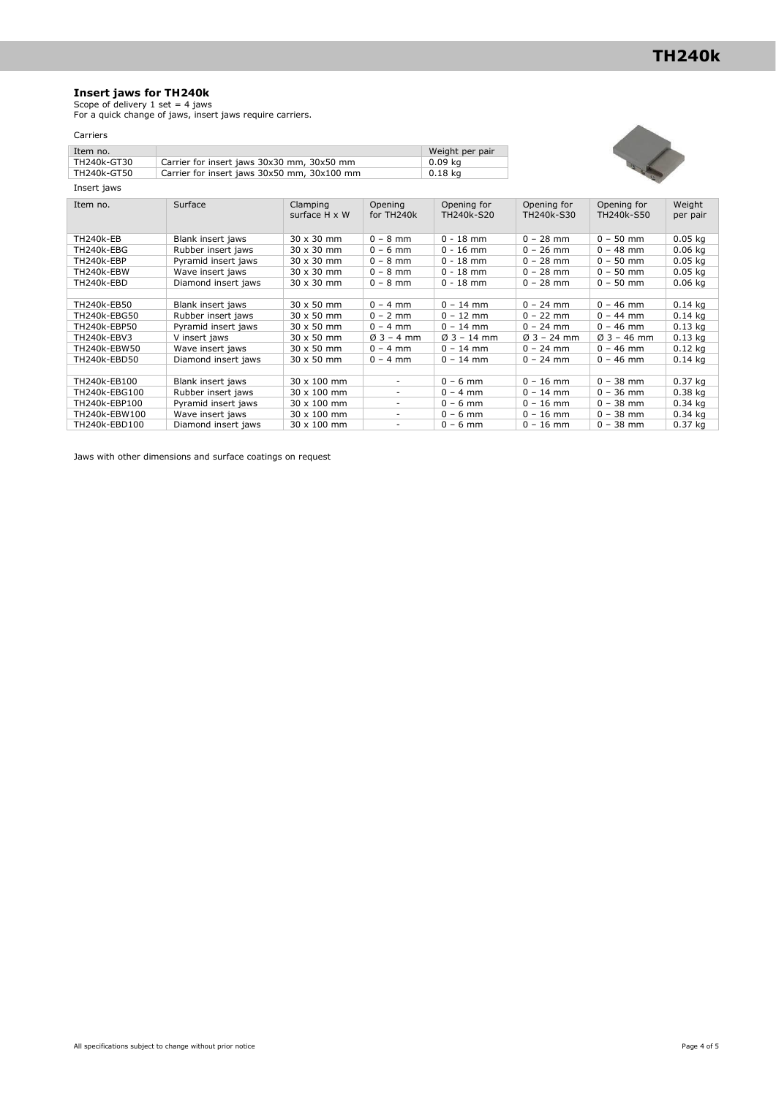### **Insert jaws for TH240k**

Scope of delivery 1 set = 4 jaws For a quick change of jaws, insert jaws require carriers.

## Carriers

| Item no.    |                                             | Weight per pair |
|-------------|---------------------------------------------|-----------------|
| TH240k-GT30 | Carrier for insert jaws 30x30 mm, 30x50 mm  | 0.09 ka         |
| TH240k-GT50 | Carrier for insert jaws 30x50 mm, 30x100 mm | 0.18 ka         |
| Insert jaws |                                             |                 |



| Item no.      | Surface             | Clamping<br>surface $H \times W$ | Opening<br>for TH240k    | Opening for<br>TH240k-S20 | Opening for<br>TH240k-S30 | Opening for<br>TH240k-S50 | Weight<br>per pair |
|---------------|---------------------|----------------------------------|--------------------------|---------------------------|---------------------------|---------------------------|--------------------|
| TH240k-EB     | Blank insert jaws   | $30 \times 30$ mm                | $0 - 8$ mm               | $0 - 18$ mm               | $0 - 28$ mm               | $0 - 50$ mm               | $0.05$ kg          |
| TH240k-EBG    | Rubber insert jaws  | 30 x 30 mm                       | $0 - 6$ mm               | $0 - 16$ mm               | $0 - 26$ mm               | $0 - 48$ mm               | $0.06$ kg          |
| TH240k-EBP    | Pyramid insert jaws | $30 \times 30$ mm                | $0 - 8$ mm               | $0 - 18$ mm               | $0 - 28$ mm               | $0 - 50$ mm               | $0.05$ kg          |
| TH240k-EBW    | Wave insert jaws    | 30 x 30 mm                       | $0 - 8$ mm               | $0 - 18$ mm               | $0 - 28$ mm               | $0 - 50$ mm               | $0.05$ kg          |
| TH240k-EBD    | Diamond insert jaws | 30 x 30 mm                       | $0 - 8$ mm               | $0 - 18$ mm               | $0 - 28$ mm               | $0 - 50$ mm               | $0.06$ kg          |
|               |                     |                                  |                          |                           |                           |                           |                    |
| TH240k-EB50   | Blank insert jaws   | $30 \times 50$ mm                | $0 - 4$ mm               | $0 - 14$ mm               | $0 - 24$ mm               | $0 - 46$ mm               | $0.14$ kg          |
| TH240k-EBG50  | Rubber insert jaws  | 30 x 50 mm                       | $0 - 2$ mm               | $0 - 12$ mm               | $0 - 22$ mm               | $0 - 44$ mm               | $0.14$ ka          |
| TH240k-EBP50  | Pyramid insert jaws | 30 x 50 mm                       | $0 - 4$ mm               | $0 - 14$ mm               | $0 - 24$ mm               | $0 - 46$ mm               | $0.13$ ka          |
| TH240k-EBV3   | V insert jaws       | 30 x 50 mm                       | $03 - 4$ mm              | $03 - 14$ mm              | $03 - 24$ mm              | $\varnothing$ 3 – 46 mm   | $0.13$ kg          |
| TH240k-EBW50  | Wave insert jaws    | $30 \times 50$ mm                | $0 - 4$ mm               | $0 - 14$ mm               | $0 - 24$ mm               | $0 - 46$ mm               | $0.12$ kg          |
| TH240k-EBD50  | Diamond insert jaws | 30 x 50 mm                       | $0 - 4$ mm               | $0 - 14$ mm               | $0 - 24$ mm               | $0 - 46$ mm               | $0.14$ kg          |
|               |                     |                                  |                          |                           |                           |                           |                    |
| TH240k-EB100  | Blank insert jaws   | 30 x 100 mm                      | $\overline{\phantom{a}}$ | $0 - 6$ mm                | $0 - 16$ mm               | $0 - 38$ mm               | $0.37$ kg          |
| TH240k-EBG100 | Rubber insert jaws  | $30 \times 100$ mm               | $\overline{\phantom{a}}$ | $0 - 4$ mm                | $0 - 14$ mm               | $0 - 36$ mm               | $0.38$ kg          |
| TH240k-EBP100 | Pyramid insert jaws | 30 x 100 mm                      | $\overline{\phantom{a}}$ | $0 - 6$ mm                | $0 - 16$ mm               | $0 - 38$ mm               | $0.34$ ka          |
| TH240k-EBW100 | Wave insert jaws    | 30 x 100 mm                      | $\overline{\phantom{a}}$ | $0 - 6$ mm                | $0 - 16$ mm               | $0 - 38$ mm               | $0.34$ kg          |
| TH240k-EBD100 | Diamond insert jaws | $30 \times 100$ mm               | $\overline{\phantom{a}}$ | $0 - 6$ mm                | $0 - 16$ mm               | $0 - 38$ mm               | 0.37 kg            |

Jaws with other dimensions and surface coatings on request